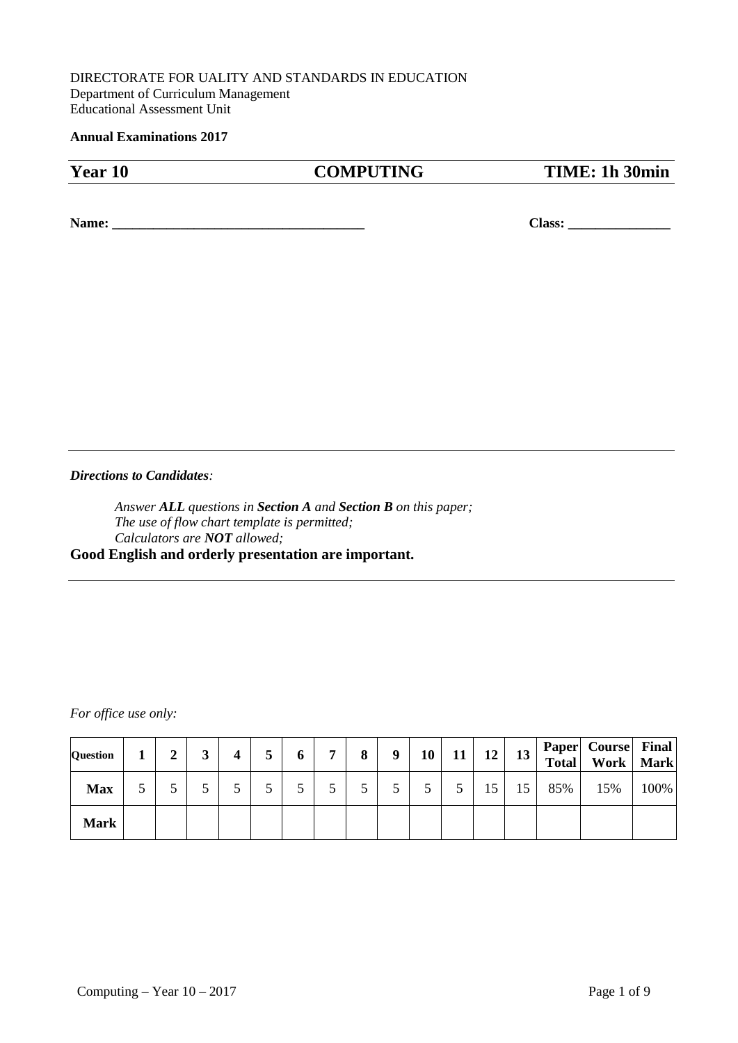#### DIRECTORATE FOR UALITY AND STANDARDS IN EDUCATION Department of Curriculum Management Educational Assessment Unit

#### **Annual Examinations 2017**

| Year 10 | <b>COMPUTING</b> | TIME: 1h 30min |
|---------|------------------|----------------|
|         |                  |                |

**Name: \_\_\_\_\_\_\_\_\_\_\_\_\_\_\_\_\_\_\_\_\_\_\_\_\_\_\_\_\_\_\_\_\_\_\_\_\_ Class: \_\_\_\_\_\_\_\_\_\_\_\_\_\_\_**

*Directions to Candidates:*

*Answer ALL questions in Section A and Section B on this paper; The use of flow chart template is permitted; Calculators are NOT allowed;* **Good English and orderly presentation are important.**

*For office use only:*

| Question    | ◠<br>◢ | 4 | J | o | 7 | 8 | 9 | 10 | 11 | 12 | 13 | <b>Total</b> | Paper   Course   Final<br>Work | <b>Mark</b> |
|-------------|--------|---|---|---|---|---|---|----|----|----|----|--------------|--------------------------------|-------------|
| <b>Max</b>  |        |   |   | ັ |   |   |   |    |    | 15 | 15 | 85%          | 15%                            | 100%        |
| <b>Mark</b> |        |   |   |   |   |   |   |    |    |    |    |              |                                |             |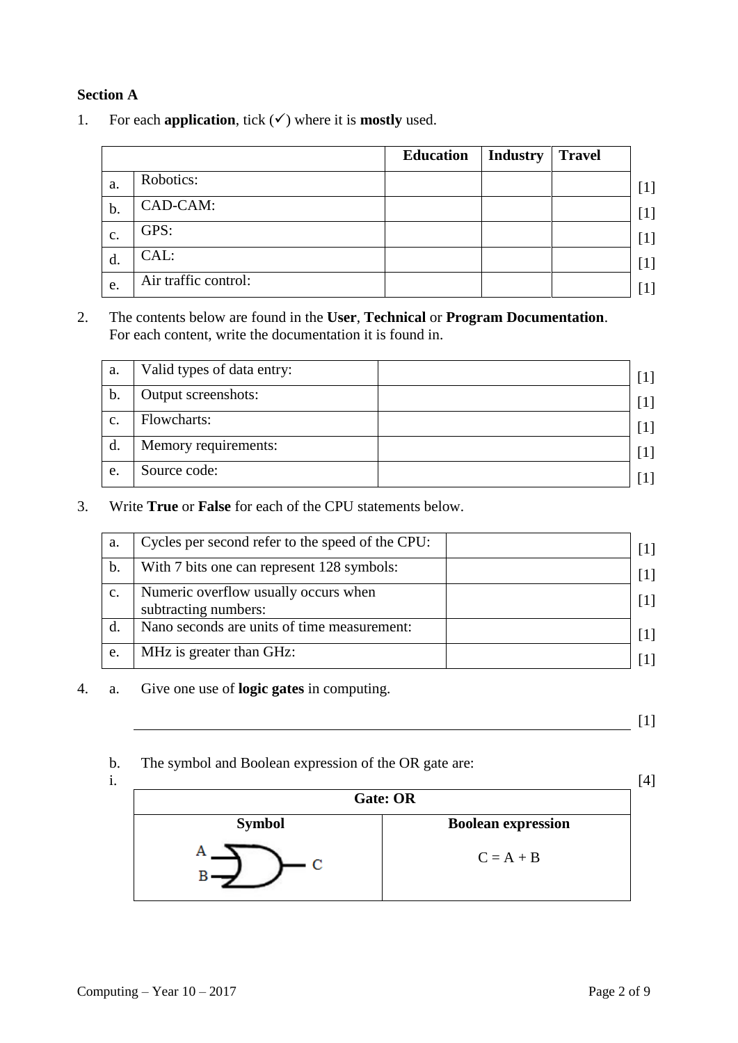### **Section A**

1. For each **application**, tick  $(\checkmark)$  where it is **mostly** used.

|                |                      | <b>Education</b> | <b>Industry</b> | <b>Travel</b> |                   |
|----------------|----------------------|------------------|-----------------|---------------|-------------------|
| a.             | Robotics:            |                  |                 |               | [1]               |
| $b$ .          | CAD-CAM:             |                  |                 |               | $\lceil 1 \rceil$ |
| $\mathbf{c}$ . | GPS:                 |                  |                 |               |                   |
| d.             | CAL:                 |                  |                 |               | $[1]$             |
| e.             | Air traffic control: |                  |                 |               | $[1]$             |

2. The contents below are found in the **User**, **Technical** or **Program Documentation**. For each content, write the documentation it is found in.

| a. | Valid types of data entry: | $\lceil 1 \rceil$ |
|----|----------------------------|-------------------|
| b. | Output screenshots:        | $\lceil 1 \rceil$ |
| c. | Flowcharts:                | $\lceil 1 \rceil$ |
| d. | Memory requirements:       | $\lceil 1 \rceil$ |
| e. | Source code:               |                   |

3. Write **True** or **False** for each of the CPU statements below.

| a.             | Cycles per second refer to the speed of the CPU:             |                   |
|----------------|--------------------------------------------------------------|-------------------|
| b.             | With 7 bits one can represent 128 symbols:                   | $\lceil 1 \rceil$ |
| $\mathbf{c}$ . | Numeric overflow usually occurs when<br>subtracting numbers: |                   |
|                | Nano seconds are units of time measurement:                  |                   |
| e.             | MHz is greater than GHz:                                     |                   |

4. a. Give one use of **logic gates** in computing.

[1]

b. The symbol and Boolean expression of the OR gate are:

i.

|               | Gate: OR                  | $^{14}$ |
|---------------|---------------------------|---------|
| <b>Symbol</b> | <b>Boolean expression</b> |         |
|               | $C = A + B$               |         |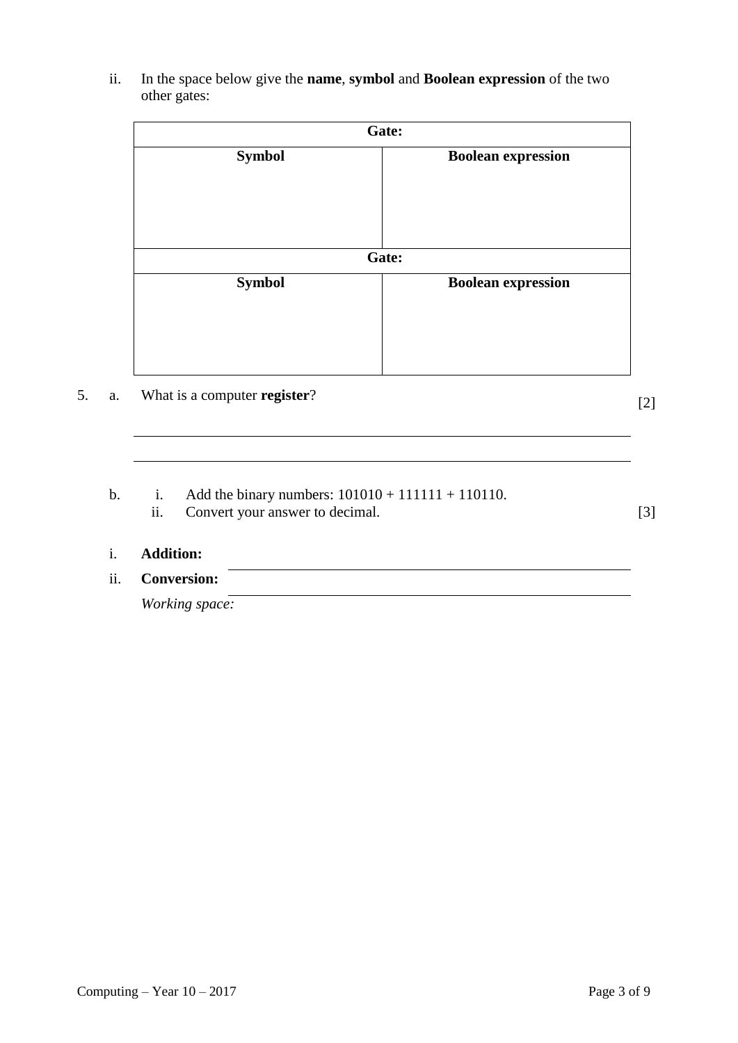|               | Gate:                     |
|---------------|---------------------------|
| <b>Symbol</b> | <b>Boolean expression</b> |
|               | Gate:                     |
| <b>Symbol</b> | <b>Boolean expression</b> |

## 5. a. What is a computer **register**?

[2]

- b. i. Add the binary numbers:  $101010 + 111111 + 110110$ .
	- ii. Convert your answer to decimal. [3]

# i. **Addition:**

## ii. **Conversion:**

*Working space:*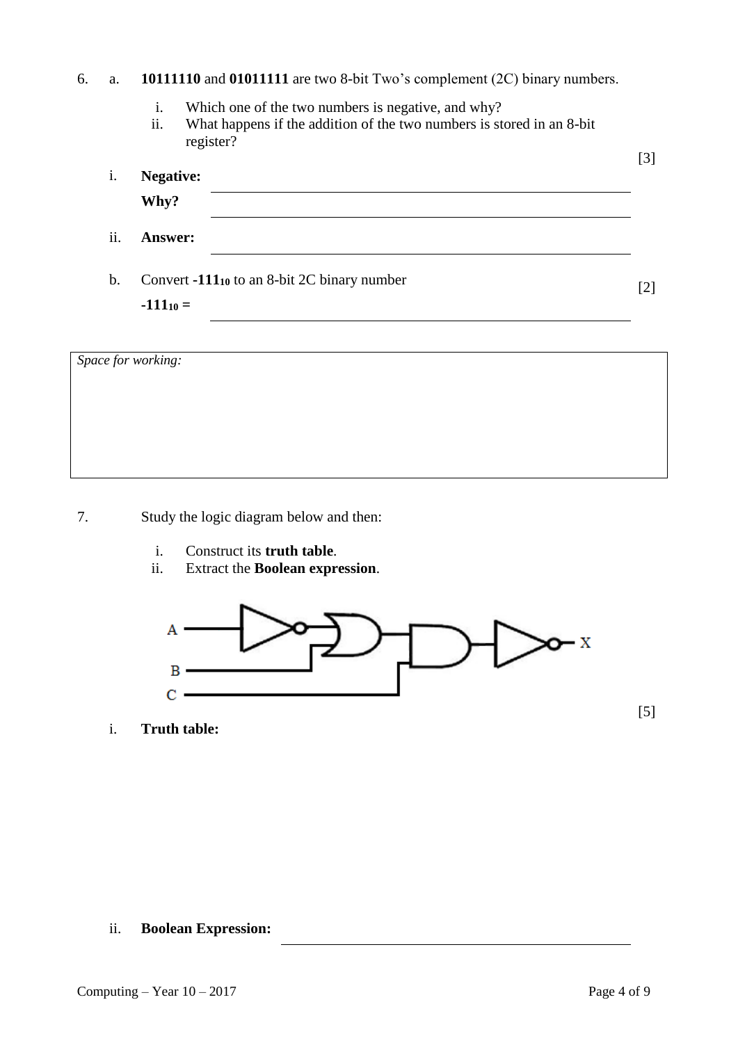## 6. a. **10111110** and **01011111** are two 8-bit Two's complement (2C) binary numbers.

- i. Which one of the two numbers is negative, and why?
- ii. What happens if the addition of the two numbers is stored in an 8-bit register?

| i.  | <b>Negative:</b><br>Why?                                     | $[3]$             |
|-----|--------------------------------------------------------------|-------------------|
| ii. | <b>Answer:</b>                                               |                   |
| b.  | Convert -11110 to an 8-bit 2C binary number<br>$-111_{10} =$ | $\lceil 2 \rceil$ |

| Space for working: |  |  |
|--------------------|--|--|
|                    |  |  |
|                    |  |  |
|                    |  |  |
|                    |  |  |

7. Study the logic diagram below and then:

- i. Construct its **truth table**.
- ii. Extract the **Boolean expression**.



i. **Truth table:**

ii. **Boolean Expression:**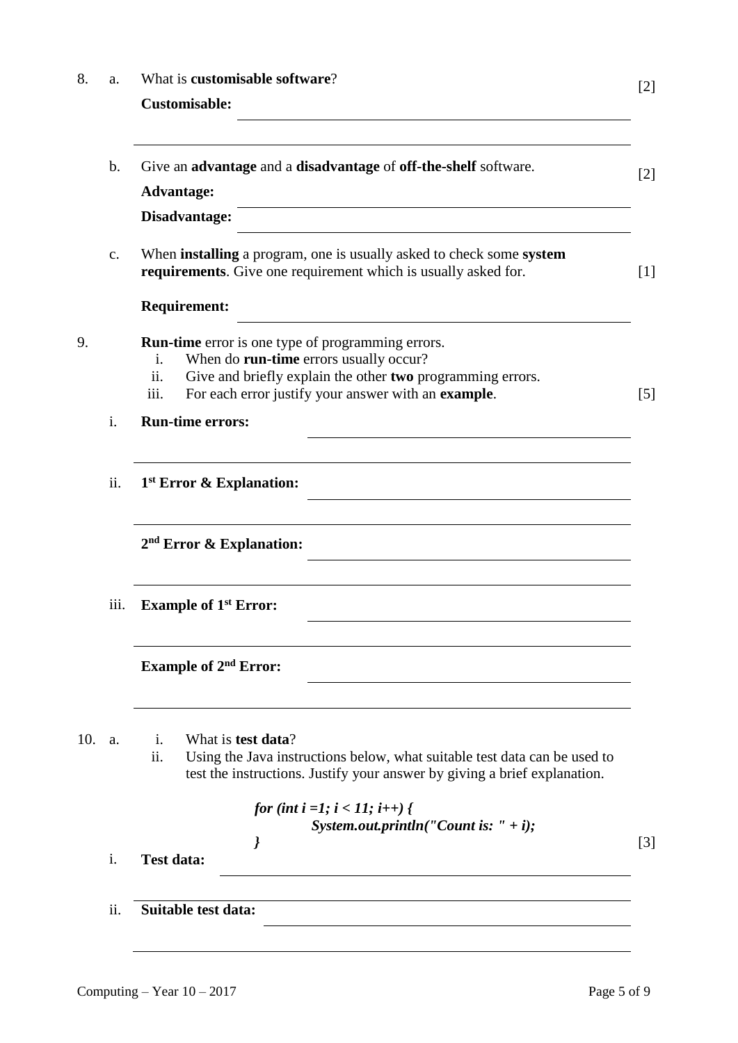| 8.  | a.             | What is customisable software?                                                                                                                                                                                                                           | [2]               |
|-----|----------------|----------------------------------------------------------------------------------------------------------------------------------------------------------------------------------------------------------------------------------------------------------|-------------------|
|     |                | <b>Customisable:</b>                                                                                                                                                                                                                                     |                   |
|     | $\mathbf b$ .  | Give an advantage and a disadvantage of off-the-shelf software.<br><b>Advantage:</b>                                                                                                                                                                     | $\lceil 2 \rceil$ |
|     |                | Disadvantage:                                                                                                                                                                                                                                            |                   |
|     | c.             | When <b>installing</b> a program, one is usually asked to check some <b>system</b><br>requirements. Give one requirement which is usually asked for.                                                                                                     | [1]               |
|     |                | <b>Requirement:</b><br><u> 1980 - Jan Stein Stein Stein Stein Stein Stein Stein Stein Stein Stein Stein Stein Stein Stein Stein Stein S</u>                                                                                                              |                   |
| 9.  |                | <b>Run-time</b> error is one type of programming errors.<br>When do run-time errors usually occur?<br>$\mathbf{1}$ .<br>ii.<br>Give and briefly explain the other two programming errors.<br>For each error justify your answer with an example.<br>iii. | $\lceil 5 \rceil$ |
|     | i.             | <b>Run-time errors:</b>                                                                                                                                                                                                                                  |                   |
|     | ii.            | 1 <sup>st</sup> Error & Explanation:                                                                                                                                                                                                                     |                   |
|     |                | $2nd$ Error & Explanation:                                                                                                                                                                                                                               |                   |
|     | <i>iii.</i>    | <b>Example of 1st Error:</b>                                                                                                                                                                                                                             |                   |
|     |                | <b>Example of 2<sup>nd</sup> Error:</b>                                                                                                                                                                                                                  |                   |
| 10. | a.             | What is <b>test data</b> ?<br>i.<br>Using the Java instructions below, what suitable test data can be used to<br>$\overline{\mathbf{11}}$ .<br>test the instructions. Justify your answer by giving a brief explanation.                                 |                   |
|     | $\mathbf{i}$ . | <i>for (int i =1; i &lt; 11; i++) {</i><br>System.out.println("Count is: " + i);<br>$\prime$                                                                                                                                                             | $\lceil 3 \rceil$ |
|     |                | <b>Test data:</b>                                                                                                                                                                                                                                        |                   |
|     | ii.            | Suitable test data:                                                                                                                                                                                                                                      |                   |
|     |                |                                                                                                                                                                                                                                                          |                   |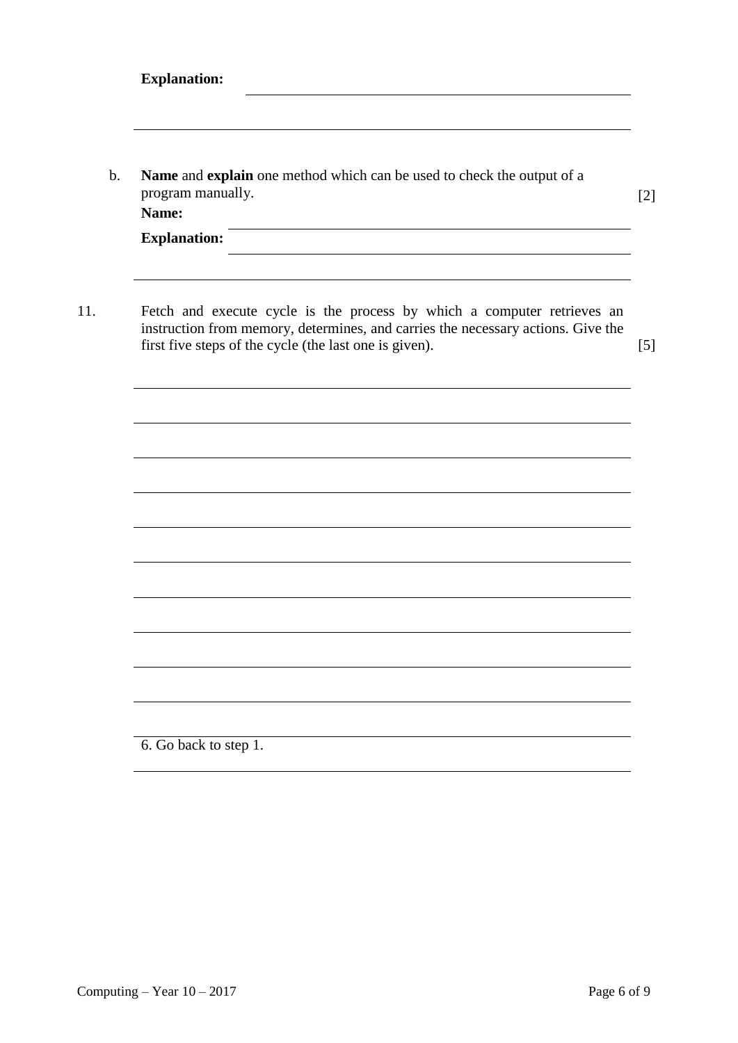| program manually.<br>Name: | Name and explain one method which can be used to check the output of a                                                                                                                                                |
|----------------------------|-----------------------------------------------------------------------------------------------------------------------------------------------------------------------------------------------------------------------|
| <b>Explanation:</b>        |                                                                                                                                                                                                                       |
|                            | Fetch and execute cycle is the process by which a computer retrieves an<br>instruction from memory, determines, and carries the necessary actions. Give the<br>first five steps of the cycle (the last one is given). |
|                            |                                                                                                                                                                                                                       |
|                            |                                                                                                                                                                                                                       |
|                            |                                                                                                                                                                                                                       |
|                            |                                                                                                                                                                                                                       |
|                            |                                                                                                                                                                                                                       |
|                            |                                                                                                                                                                                                                       |

6. Go back to step 1.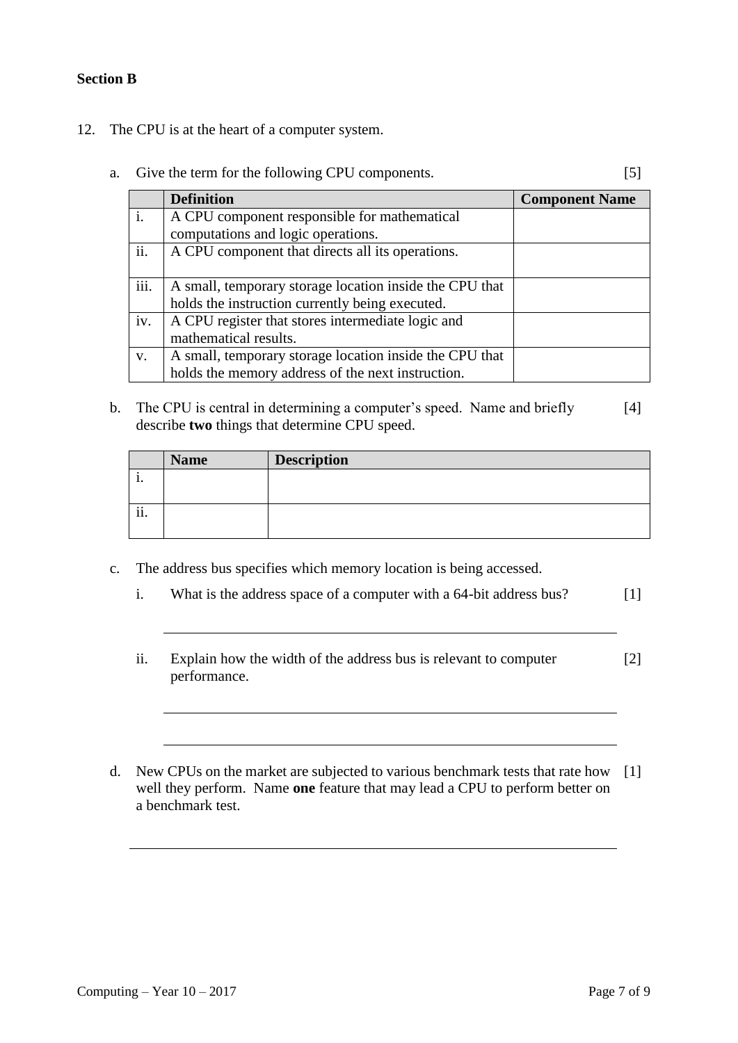### **Section B**

- 12. The CPU is at the heart of a computer system.
	- a. Give the term for the following CPU components. [5]

|      | <b>Definition</b>                                       | <b>Component Name</b> |
|------|---------------------------------------------------------|-----------------------|
|      | A CPU component responsible for mathematical            |                       |
|      | computations and logic operations.                      |                       |
| ii.  | A CPU component that directs all its operations.        |                       |
|      |                                                         |                       |
| iii. | A small, temporary storage location inside the CPU that |                       |
|      | holds the instruction currently being executed.         |                       |
| iv.  | A CPU register that stores intermediate logic and       |                       |
|      | mathematical results.                                   |                       |
| V.   | A small, temporary storage location inside the CPU that |                       |
|      | holds the memory address of the next instruction.       |                       |

b. The CPU is central in determining a computer's speed. Name and briefly describe **two** things that determine CPU speed. [4]

|                  | <b>Name</b> | <b>Description</b> |
|------------------|-------------|--------------------|
| .,               |             |                    |
|                  |             |                    |
| $\ddotsc$<br>11. |             |                    |
|                  |             |                    |

- c. The address bus specifies which memory location is being accessed.
	- i. What is the address space of a computer with a 64-bit address bus? [1]
	- ii. Explain how the width of the address bus is relevant to computer performance. [2]
- d. New CPUs on the market are subjected to various benchmark tests that rate how [1]well they perform. Name **one** feature that may lead a CPU to perform better on a benchmark test.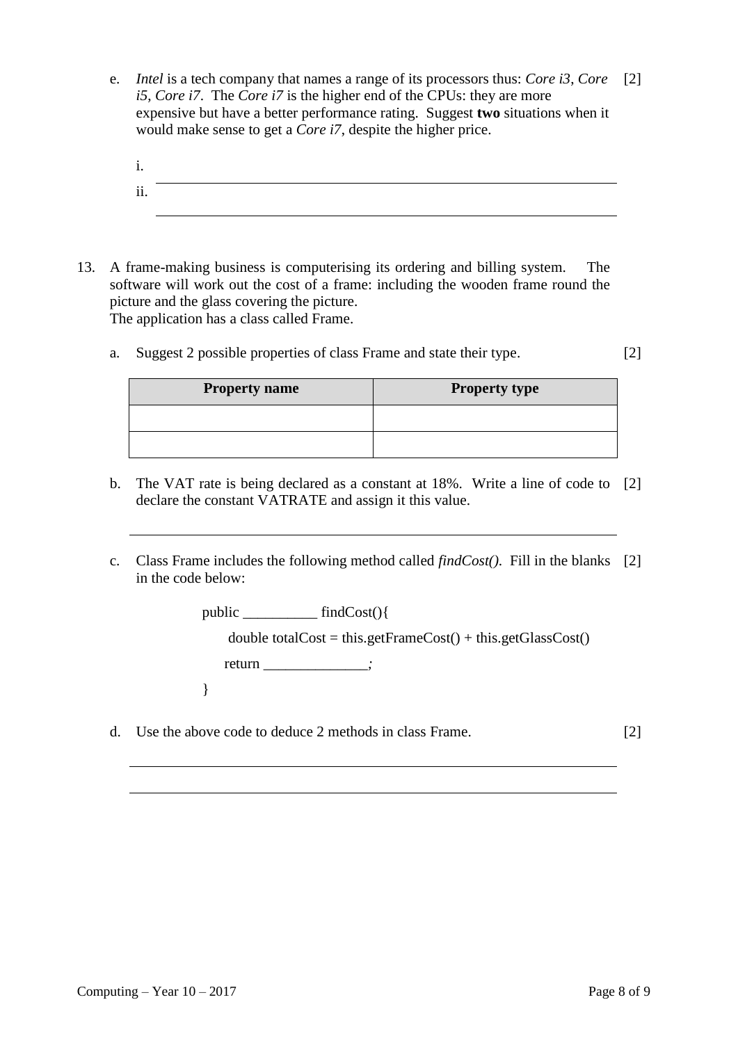- e. *Intel* is a tech company that names a range of its processors thus: *Core i3*, *Core*  [2] *i5*, *Core i7*. The *Core i7* is the higher end of the CPUs: they are more expensive but have a better performance rating. Suggest **two** situations when it would make sense to get a *Core i7*, despite the higher price.
	- i. ii.
- 13. A frame-making business is computerising its ordering and billing system. The software will work out the cost of a frame: including the wooden frame round the picture and the glass covering the picture. The application has a class called Frame.
	- a. Suggest 2 possible properties of class Frame and state their type. [2]

| <b>Property name</b> | <b>Property type</b> |
|----------------------|----------------------|
|                      |                      |
|                      |                      |

- b. The VAT rate is being declared as a constant at 18%. Write a line of code to [2] declare the constant VATRATE and assign it this value.
- c. Class Frame includes the following method called *findCost()*. Fill in the blanks [2] in the code below:

public \_\_\_\_\_\_\_\_\_\_ findCost(){

double totalCost = this.getFrameCost() + this.getGlassCost()

return \_\_\_\_\_\_\_\_\_\_\_\_\_\_*;*

}

d. Use the above code to deduce 2 methods in class Frame. [2]